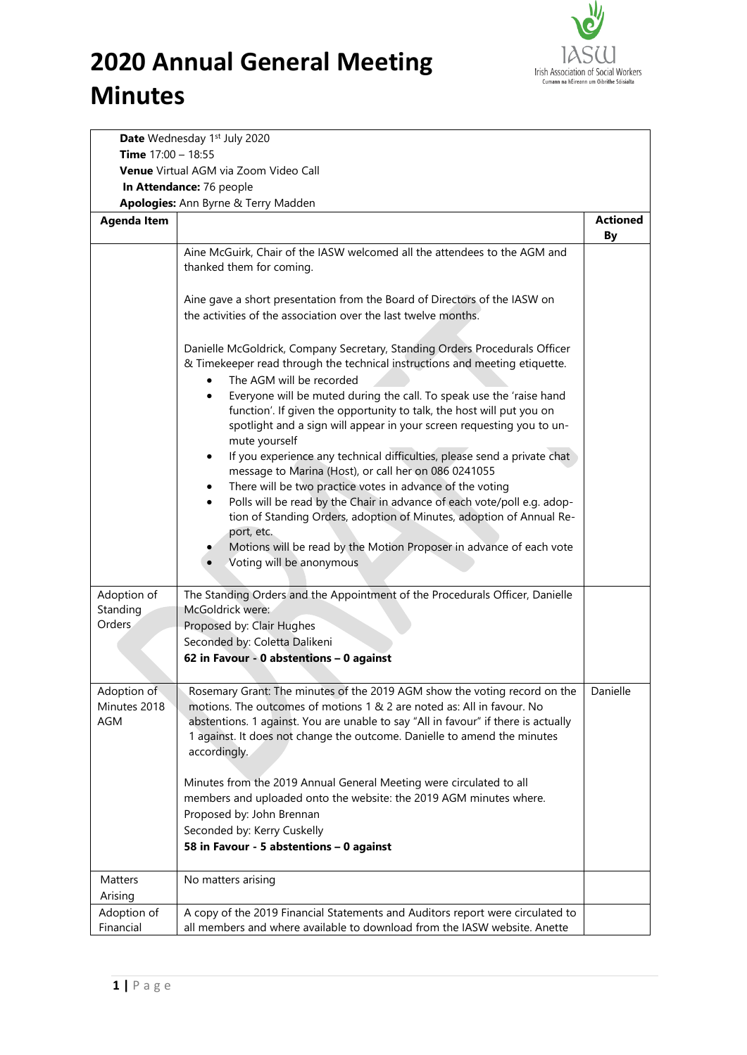

|                                       | Date Wednesday 1st July 2020                                                                                                                                                                                                                                                                                                          |                 |  |  |  |
|---------------------------------------|---------------------------------------------------------------------------------------------------------------------------------------------------------------------------------------------------------------------------------------------------------------------------------------------------------------------------------------|-----------------|--|--|--|
| Time $17:00 - 18:55$                  |                                                                                                                                                                                                                                                                                                                                       |                 |  |  |  |
| Venue Virtual AGM via Zoom Video Call |                                                                                                                                                                                                                                                                                                                                       |                 |  |  |  |
|                                       | In Attendance: 76 people                                                                                                                                                                                                                                                                                                              |                 |  |  |  |
|                                       | Apologies: Ann Byrne & Terry Madden                                                                                                                                                                                                                                                                                                   |                 |  |  |  |
| <b>Agenda Item</b>                    |                                                                                                                                                                                                                                                                                                                                       | <b>Actioned</b> |  |  |  |
|                                       |                                                                                                                                                                                                                                                                                                                                       | <b>By</b>       |  |  |  |
|                                       | Aine McGuirk, Chair of the IASW welcomed all the attendees to the AGM and<br>thanked them for coming.                                                                                                                                                                                                                                 |                 |  |  |  |
|                                       |                                                                                                                                                                                                                                                                                                                                       |                 |  |  |  |
|                                       | Aine gave a short presentation from the Board of Directors of the IASW on                                                                                                                                                                                                                                                             |                 |  |  |  |
|                                       | the activities of the association over the last twelve months.                                                                                                                                                                                                                                                                        |                 |  |  |  |
|                                       | Danielle McGoldrick, Company Secretary, Standing Orders Procedurals Officer<br>& Timekeeper read through the technical instructions and meeting etiquette.                                                                                                                                                                            |                 |  |  |  |
|                                       | The AGM will be recorded                                                                                                                                                                                                                                                                                                              |                 |  |  |  |
|                                       | Everyone will be muted during the call. To speak use the 'raise hand<br>$\bullet$<br>function'. If given the opportunity to talk, the host will put you on                                                                                                                                                                            |                 |  |  |  |
|                                       | spotlight and a sign will appear in your screen requesting you to un-<br>mute yourself                                                                                                                                                                                                                                                |                 |  |  |  |
|                                       | If you experience any technical difficulties, please send a private chat                                                                                                                                                                                                                                                              |                 |  |  |  |
|                                       | message to Marina (Host), or call her on 086 0241055<br>There will be two practice votes in advance of the voting                                                                                                                                                                                                                     |                 |  |  |  |
|                                       | Polls will be read by the Chair in advance of each vote/poll e.g. adop-                                                                                                                                                                                                                                                               |                 |  |  |  |
|                                       | tion of Standing Orders, adoption of Minutes, adoption of Annual Re-                                                                                                                                                                                                                                                                  |                 |  |  |  |
|                                       | port, etc.                                                                                                                                                                                                                                                                                                                            |                 |  |  |  |
|                                       | Motions will be read by the Motion Proposer in advance of each vote                                                                                                                                                                                                                                                                   |                 |  |  |  |
|                                       | Voting will be anonymous                                                                                                                                                                                                                                                                                                              |                 |  |  |  |
| Adoption of                           | The Standing Orders and the Appointment of the Procedurals Officer, Danielle                                                                                                                                                                                                                                                          |                 |  |  |  |
| Standing                              | McGoldrick were:                                                                                                                                                                                                                                                                                                                      |                 |  |  |  |
| Orders.                               | Proposed by: Clair Hughes                                                                                                                                                                                                                                                                                                             |                 |  |  |  |
|                                       | Seconded by: Coletta Dalikeni                                                                                                                                                                                                                                                                                                         |                 |  |  |  |
|                                       | 62 in Favour - 0 abstentions - 0 against                                                                                                                                                                                                                                                                                              |                 |  |  |  |
|                                       |                                                                                                                                                                                                                                                                                                                                       |                 |  |  |  |
| Adoption of<br>Minutes 2018<br>AGM    | Rosemary Grant: The minutes of the 2019 AGM show the voting record on the<br>motions. The outcomes of motions 1 & 2 are noted as: All in favour. No<br>abstentions. 1 against. You are unable to say "All in favour" if there is actually<br>1 against. It does not change the outcome. Danielle to amend the minutes<br>accordingly. | Danielle        |  |  |  |
|                                       |                                                                                                                                                                                                                                                                                                                                       |                 |  |  |  |
|                                       | Minutes from the 2019 Annual General Meeting were circulated to all<br>members and uploaded onto the website: the 2019 AGM minutes where.                                                                                                                                                                                             |                 |  |  |  |
|                                       | Proposed by: John Brennan                                                                                                                                                                                                                                                                                                             |                 |  |  |  |
|                                       | Seconded by: Kerry Cuskelly                                                                                                                                                                                                                                                                                                           |                 |  |  |  |
|                                       | 58 in Favour - 5 abstentions - 0 against                                                                                                                                                                                                                                                                                              |                 |  |  |  |
|                                       |                                                                                                                                                                                                                                                                                                                                       |                 |  |  |  |
| Matters<br>Arising                    | No matters arising                                                                                                                                                                                                                                                                                                                    |                 |  |  |  |
| Adoption of                           | A copy of the 2019 Financial Statements and Auditors report were circulated to                                                                                                                                                                                                                                                        |                 |  |  |  |
| Financial                             | all members and where available to download from the IASW website. Anette                                                                                                                                                                                                                                                             |                 |  |  |  |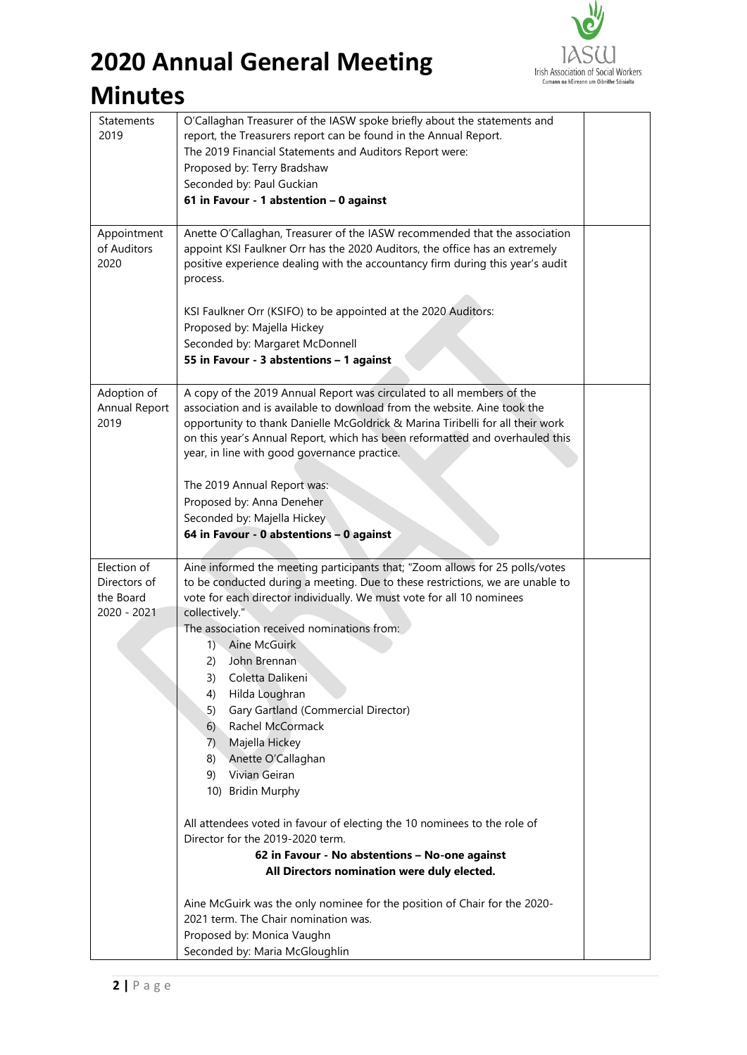

# **2020 Annual General Meeting**

| Statements<br>2019                                      | O'Callaghan Treasurer of the IASW spoke briefly about the statements and<br>report, the Treasurers report can be found in the Annual Report.<br>The 2019 Financial Statements and Auditors Report were:<br>Proposed by: Terry Bradshaw<br>Seconded by: Paul Guckian<br>61 in Favour - 1 abstention - 0 against                                                                                                                                                                                                                                                                                                                                                                                                                                                                                                                                                                                                                                                              |  |
|---------------------------------------------------------|-----------------------------------------------------------------------------------------------------------------------------------------------------------------------------------------------------------------------------------------------------------------------------------------------------------------------------------------------------------------------------------------------------------------------------------------------------------------------------------------------------------------------------------------------------------------------------------------------------------------------------------------------------------------------------------------------------------------------------------------------------------------------------------------------------------------------------------------------------------------------------------------------------------------------------------------------------------------------------|--|
| Appointment<br>of Auditors<br>2020                      | Anette O'Callaghan, Treasurer of the IASW recommended that the association<br>appoint KSI Faulkner Orr has the 2020 Auditors, the office has an extremely<br>positive experience dealing with the accountancy firm during this year's audit<br>process.<br>KSI Faulkner Orr (KSIFO) to be appointed at the 2020 Auditors:<br>Proposed by: Majella Hickey<br>Seconded by: Margaret McDonnell<br>55 in Favour - 3 abstentions - 1 against                                                                                                                                                                                                                                                                                                                                                                                                                                                                                                                                     |  |
| Adoption of<br>Annual Report<br>2019                    | A copy of the 2019 Annual Report was circulated to all members of the<br>association and is available to download from the website. Aine took the<br>opportunity to thank Danielle McGoldrick & Marina Tiribelli for all their work<br>on this year's Annual Report, which has been reformatted and overhauled this<br>year, in line with good governance practice.<br>The 2019 Annual Report was:<br>Proposed by: Anna Deneher<br>Seconded by: Majella Hickey<br>64 in Favour - 0 abstentions - 0 against                                                                                                                                                                                                                                                                                                                                                                                                                                                                  |  |
| Election of<br>Directors of<br>the Board<br>2020 - 2021 | Aine informed the meeting participants that; "Zoom allows for 25 polls/votes<br>to be conducted during a meeting. Due to these restrictions, we are unable to<br>vote for each director individually. We must vote for all 10 nominees<br>collectively."<br>The association received nominations from:<br>1) Aine McGuirk<br>John Brennan<br>2)<br>Coletta Dalikeni<br>3)<br>Hilda Loughran<br>4)<br>Gary Gartland (Commercial Director)<br>5)<br>6) Rachel McCormack<br>Majella Hickey<br>7)<br>Anette O'Callaghan<br>8)<br>Vivian Geiran<br>9)<br>10) Bridin Murphy<br>All attendees voted in favour of electing the 10 nominees to the role of<br>Director for the 2019-2020 term.<br>62 in Favour - No abstentions - No-one against<br>All Directors nomination were duly elected.<br>Aine McGuirk was the only nominee for the position of Chair for the 2020-<br>2021 term. The Chair nomination was.<br>Proposed by: Monica Vaughn<br>Seconded by: Maria McGloughlin |  |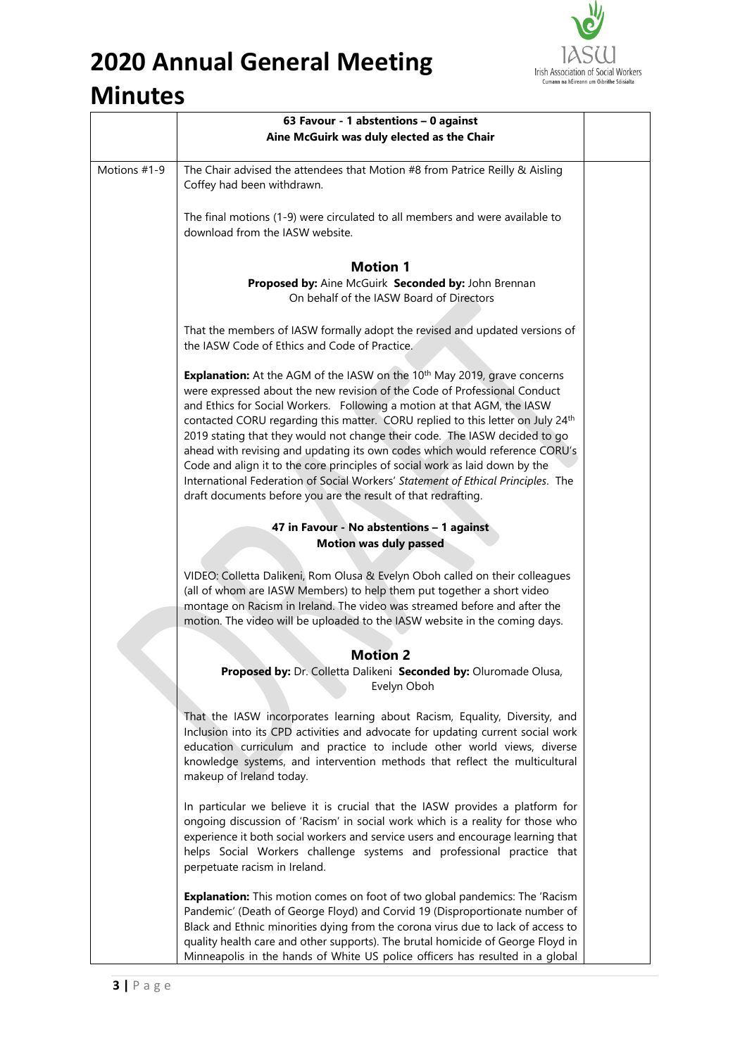

# **2020 Annual General Meeting**

#### **Minutes**

|              | 63 Favour - 1 abstentions - 0 against                                                                                                                                                                                                                                                                                                                                                                                                                                                                                                                                                                                                                                                                                           |  |
|--------------|---------------------------------------------------------------------------------------------------------------------------------------------------------------------------------------------------------------------------------------------------------------------------------------------------------------------------------------------------------------------------------------------------------------------------------------------------------------------------------------------------------------------------------------------------------------------------------------------------------------------------------------------------------------------------------------------------------------------------------|--|
|              | Aine McGuirk was duly elected as the Chair                                                                                                                                                                                                                                                                                                                                                                                                                                                                                                                                                                                                                                                                                      |  |
| Motions #1-9 | The Chair advised the attendees that Motion #8 from Patrice Reilly & Aisling<br>Coffey had been withdrawn.                                                                                                                                                                                                                                                                                                                                                                                                                                                                                                                                                                                                                      |  |
|              | The final motions (1-9) were circulated to all members and were available to<br>download from the IASW website.                                                                                                                                                                                                                                                                                                                                                                                                                                                                                                                                                                                                                 |  |
|              | <b>Motion 1</b>                                                                                                                                                                                                                                                                                                                                                                                                                                                                                                                                                                                                                                                                                                                 |  |
|              | Proposed by: Aine McGuirk Seconded by: John Brennan<br>On behalf of the IASW Board of Directors                                                                                                                                                                                                                                                                                                                                                                                                                                                                                                                                                                                                                                 |  |
|              | That the members of IASW formally adopt the revised and updated versions of<br>the IASW Code of Ethics and Code of Practice.                                                                                                                                                                                                                                                                                                                                                                                                                                                                                                                                                                                                    |  |
|              | Explanation: At the AGM of the IASW on the 10 <sup>th</sup> May 2019, grave concerns<br>were expressed about the new revision of the Code of Professional Conduct<br>and Ethics for Social Workers. Following a motion at that AGM, the IASW<br>contacted CORU regarding this matter. CORU replied to this letter on July 24th<br>2019 stating that they would not change their code. The IASW decided to go<br>ahead with revising and updating its own codes which would reference CORU's<br>Code and align it to the core principles of social work as laid down by the<br>International Federation of Social Workers' Statement of Ethical Principles. The<br>draft documents before you are the result of that redrafting. |  |
|              | 47 in Favour - No abstentions - 1 against                                                                                                                                                                                                                                                                                                                                                                                                                                                                                                                                                                                                                                                                                       |  |
|              | <b>Motion was duly passed</b>                                                                                                                                                                                                                                                                                                                                                                                                                                                                                                                                                                                                                                                                                                   |  |
|              | VIDEO: Colletta Dalikeni, Rom Olusa & Evelyn Oboh called on their colleagues<br>(all of whom are IASW Members) to help them put together a short video<br>montage on Racism in Ireland. The video was streamed before and after the<br>motion. The video will be uploaded to the IASW website in the coming days.                                                                                                                                                                                                                                                                                                                                                                                                               |  |
|              | <b>Motion 2</b>                                                                                                                                                                                                                                                                                                                                                                                                                                                                                                                                                                                                                                                                                                                 |  |
|              | Proposed by: Dr. Colletta Dalikeni Seconded by: Oluromade Olusa,<br>Evelyn Oboh                                                                                                                                                                                                                                                                                                                                                                                                                                                                                                                                                                                                                                                 |  |
|              | That the IASW incorporates learning about Racism, Equality, Diversity, and<br>Inclusion into its CPD activities and advocate for updating current social work<br>education curriculum and practice to include other world views, diverse<br>knowledge systems, and intervention methods that reflect the multicultural<br>makeup of Ireland today.                                                                                                                                                                                                                                                                                                                                                                              |  |
|              | In particular we believe it is crucial that the IASW provides a platform for<br>ongoing discussion of 'Racism' in social work which is a reality for those who<br>experience it both social workers and service users and encourage learning that<br>helps Social Workers challenge systems and professional practice that<br>perpetuate racism in Ireland.                                                                                                                                                                                                                                                                                                                                                                     |  |
|              | <b>Explanation:</b> This motion comes on foot of two global pandemics: The 'Racism'<br>Pandemic' (Death of George Floyd) and Corvid 19 (Disproportionate number of<br>Black and Ethnic minorities dying from the corona virus due to lack of access to<br>quality health care and other supports). The brutal homicide of George Floyd in<br>Minneapolis in the hands of White US police officers has resulted in a global                                                                                                                                                                                                                                                                                                      |  |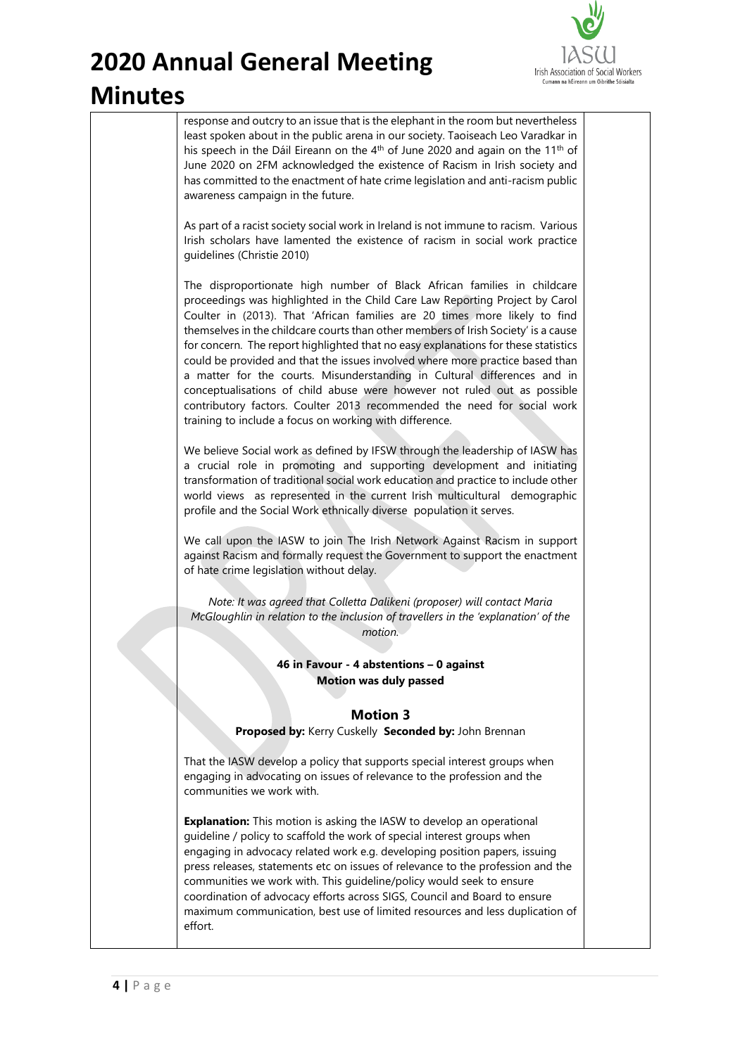

response and outcry to an issue that is the elephant in the room but nevertheless least spoken about in the public arena in our society. Taoiseach Leo Varadkar in his speech in the Dáil Eireann on the 4<sup>th</sup> of June 2020 and again on the 11<sup>th</sup> of June 2020 on 2FM acknowledged the existence of Racism in Irish society and has committed to the enactment of hate crime legislation and anti-racism public awareness campaign in the future.

As part of a racist society social work in Ireland is not immune to racism. Various Irish scholars have lamented the existence of racism in social work practice guidelines (Christie 2010)

The disproportionate high number of Black African families in childcare proceedings was highlighted in the Child Care Law Reporting Project by Carol Coulter in (2013). That 'African families are 20 times more likely to find themselves in the childcare courts than other members of Irish Society' is a cause for concern. The report highlighted that no easy explanations for these statistics could be provided and that the issues involved where more practice based than a matter for the courts. Misunderstanding in Cultural differences and in conceptualisations of child abuse were however not ruled out as possible contributory factors. Coulter 2013 recommended the need for social work training to include a focus on working with difference.

We believe Social work as defined by IFSW through the leadership of IASW has a crucial role in promoting and supporting development and initiating transformation of traditional social work education and practice to include other world views as represented in the current Irish multicultural demographic profile and the Social Work ethnically diverse population it serves.

We call upon the IASW to join The Irish Network Against Racism in support against Racism and formally request the Government to support the enactment of hate crime legislation without delay.

*Note: It was agreed that Colletta Dalikeni (proposer) will contact Maria McGloughlin in relation to the inclusion of travellers in the 'explanation' of the motion.* 

> **46 in Favour - 4 abstentions – 0 against Motion was duly passed**

#### **Motion 3**

**Proposed by:** Kerry Cuskelly **Seconded by:** John Brennan

That the IASW develop a policy that supports special interest groups when engaging in advocating on issues of relevance to the profession and the communities we work with.

**Explanation:** This motion is asking the IASW to develop an operational guideline / policy to scaffold the work of special interest groups when engaging in advocacy related work e.g. developing position papers, issuing press releases, statements etc on issues of relevance to the profession and the communities we work with. This guideline/policy would seek to ensure coordination of advocacy efforts across SIGS, Council and Board to ensure maximum communication, best use of limited resources and less duplication of effort.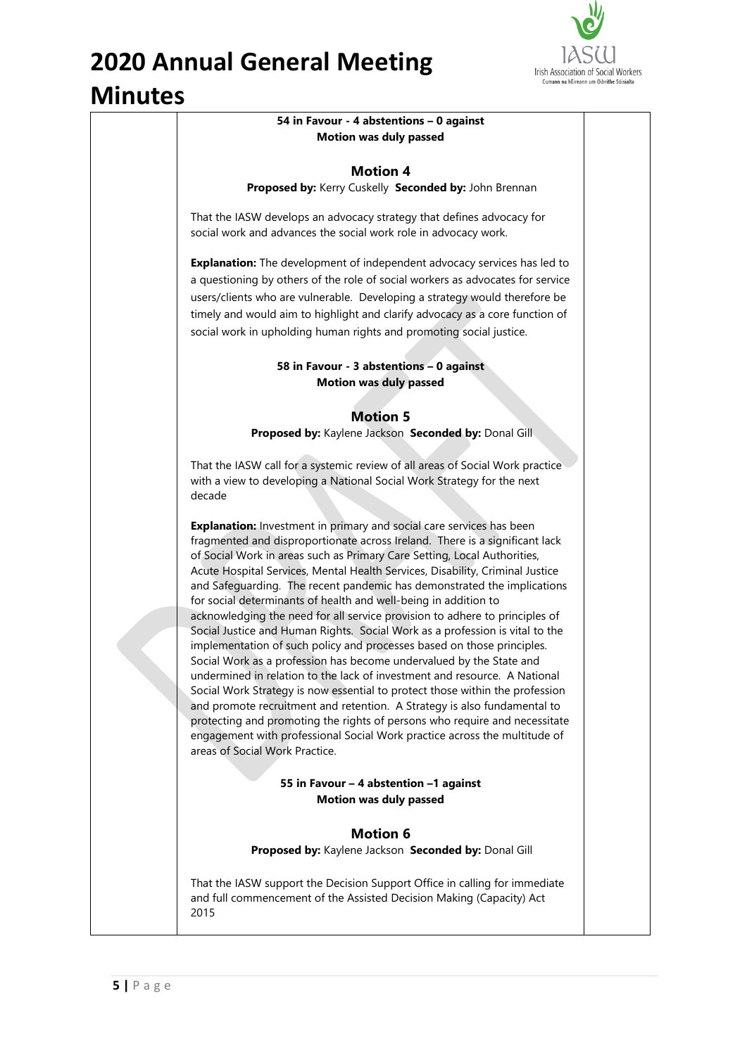

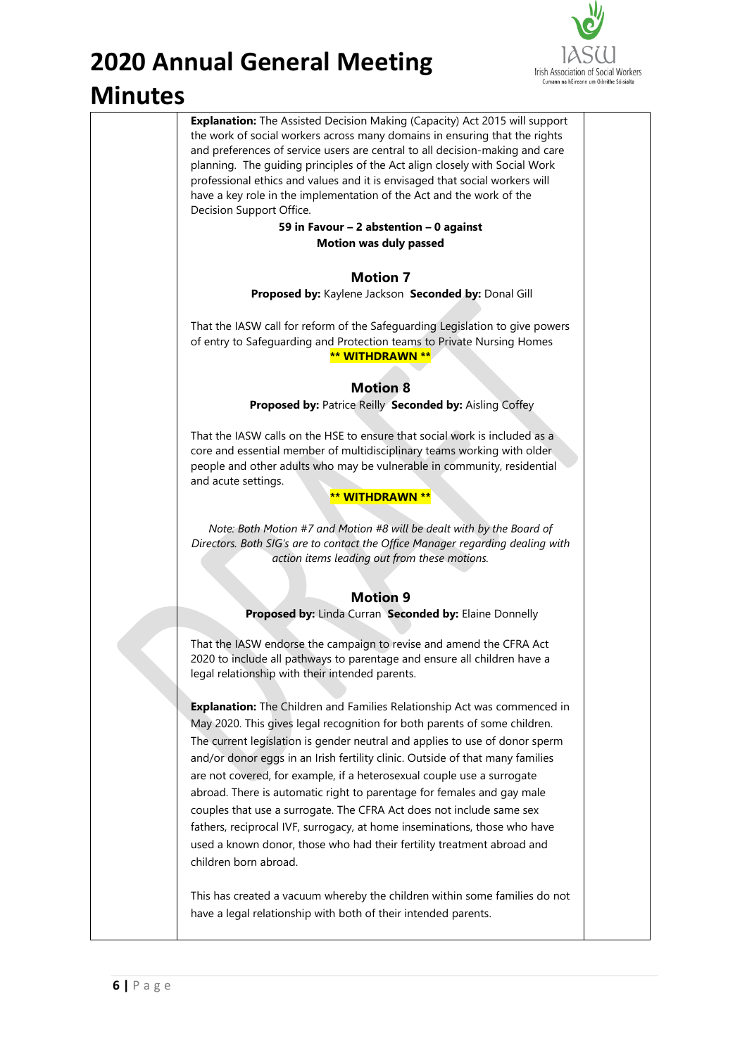

**Explanation:** The Assisted Decision Making (Capacity) Act 2015 will support the work of social workers across many domains in ensuring that the rights and preferences of service users are central to all decision-making and care planning. The guiding principles of the Act align closely with Social Work professional ethics and values and it is envisaged that social workers will have a key role in the implementation of the Act and the work of the Decision Support Office. **59 in Favour – 2 abstention – 0 against Motion was duly passed Motion 7 Proposed by:** Kaylene Jackson **Seconded by:** Donal Gill That the IASW call for reform of the Safeguarding Legislation to give powers of entry to Safeguarding and Protection teams to Private Nursing Homes **\*\* WITHDRAWN \*\* Motion 8 Proposed by:** Patrice Reilly **Seconded by:** Aisling Coffey That the IASW calls on the HSE to ensure that social work is included as a core and essential member of multidisciplinary teams working with older people and other adults who may be vulnerable in community, residential and acute settings. **\*\* WITHDRAWN \*\*** *Note: Both Motion #7 and Motion #8 will be dealt with by the Board of Directors. Both SIG's are to contact the Office Manager regarding dealing with action items leading out from these motions.* **Motion 9 Proposed by:** Linda Curran **Seconded by:** Elaine Donnelly That the IASW endorse the campaign to revise and amend the CFRA Act 2020 to include all pathways to parentage and ensure all children have a legal relationship with their intended parents. **Explanation:** The Children and Families Relationship Act was commenced in May 2020. This gives legal recognition for both parents of some children. The current legislation is gender neutral and applies to use of donor sperm and/or donor eggs in an Irish fertility clinic. Outside of that many families are not covered, for example, if a heterosexual couple use a surrogate abroad. There is automatic right to parentage for females and gay male couples that use a surrogate. The CFRA Act does not include same sex fathers, reciprocal IVF, surrogacy, at home inseminations, those who have used a known donor, those who had their fertility treatment abroad and children born abroad. This has created a vacuum whereby the children within some families do not have a legal relationship with both of their intended parents.